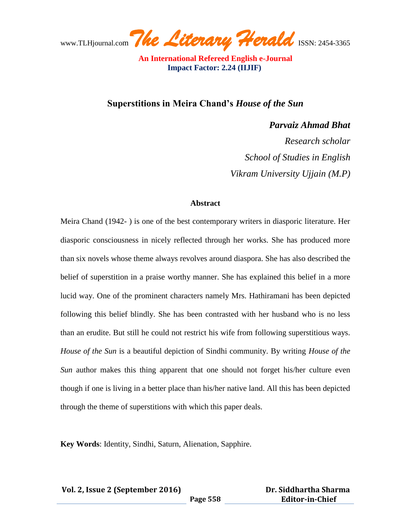www.TLHjournal.com The Literary Herald ISSN: 2454-3365

**Superstitions in Meira Chand's** *House of the Sun*

*Parvaiz Ahmad Bhat Research scholar School of Studies in English Vikram University Ujjain (M.P)*

## **Abstract**

Meira Chand (1942- ) is one of the best contemporary writers in diasporic literature. Her diasporic consciousness in nicely reflected through her works. She has produced more than six novels whose theme always revolves around diaspora. She has also described the belief of superstition in a praise worthy manner. She has explained this belief in a more lucid way. One of the prominent characters namely Mrs. Hathiramani has been depicted following this belief blindly. She has been contrasted with her husband who is no less than an erudite. But still he could not restrict his wife from following superstitious ways. *House of the Sun* is a beautiful depiction of Sindhi community. By writing *House of the Sun* author makes this thing apparent that one should not forget his/her culture even though if one is living in a better place than his/her native land. All this has been depicted through the theme of superstitions with which this paper deals.

**Key Words**: Identity, Sindhi, Saturn, Alienation, Sapphire.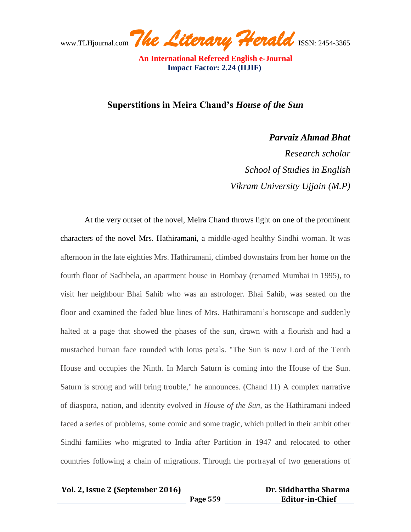www.TLHjournal.com The Literary Herald ISSN: 2454-3365

**Superstitions in Meira Chand's** *House of the Sun*

*Parvaiz Ahmad Bhat*

*Research scholar School of Studies in English Vikram University Ujjain (M.P)*

At the very outset of the novel, Meira Chand throws light on one of the prominent characters of the novel Mrs. Hathiramani, a middle-aged healthy Sindhi woman. It was afternoon in the late eighties Mrs. Hathiramani, climbed downstairs from her home on the fourth floor of Sadhbela, an apartment house in Bombay (renamed Mumbai in 1995), to visit her neighbour Bhai Sahib who was an astrologer. Bhai Sahib, was seated on the floor and examined the faded blue lines of Mrs. Hathiramani's horoscope and suddenly halted at a page that showed the phases of the sun, drawn with a flourish and had a mustached human face rounded with lotus petals. "The Sun is now Lord of the Tenth House and occupies the Ninth. In March Saturn is coming into the House of the Sun. Saturn is strong and will bring trouble," he announces. (Chand 11) A complex narrative of diaspora, nation, and identity evolved in *House of the Sun,* as the Hathiramani indeed faced a series of problems, some comic and some tragic, which pulled in their ambit other Sindhi families who migrated to India after Partition in 1947 and relocated to other countries following a chain of migrations. Through the portrayal of two generations of

**Vol. 2, Issue 2 (September 2016)**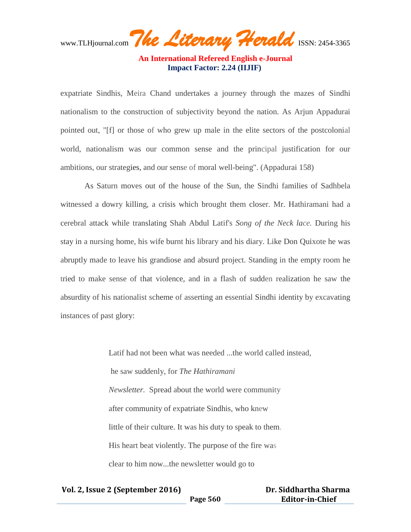www.TLHjournal.com The Literary Herald ISSN: 2454-3365

expatriate Sindhis, Meira Chand undertakes a journey through the mazes of Sindhi nationalism to the construction of subjectivity beyond the nation. As Arjun Appadurai pointed out, "[f] or those of who grew up male in the elite sectors of the postcolonial world, nationalism was our common sense and the principal justification for our ambitions, our strategies, and our sense of moral well-being". (Appadurai 158)

As Saturn moves out of the house of the Sun, the Sindhi families of Sadhbela witnessed a dowry killing, a crisis which brought them closer. Mr. Hathiramani had a cerebral attack while translating Shah Abdul Latif's *Song of the Neck lace.* During his stay in a nursing home, his wife burnt his library and his diary. Like Don Quixote he was abruptly made to leave his grandiose and absurd project. Standing in the empty room he tried to make sense of that violence, and in a flash of sudden realization he saw the absurdity of his nationalist scheme of asserting an essential Sindhi identity by excavating instances of past glory:

> Latif had not been what was needed ...the world called instead, he saw suddenly, for *The Hathiramani Newsletter.* Spread about the world were community after community of expatriate Sindhis, who knew little of their culture. It was his duty to speak to them. His heart beat violently. The purpose of the fire was clear to him now...the newsletter would go to

| Vol. 2, Issue 2 (September 2016) |          | Dr. Siddhartha Sharma  |
|----------------------------------|----------|------------------------|
|                                  | Page 560 | <b>Editor-in-Chief</b> |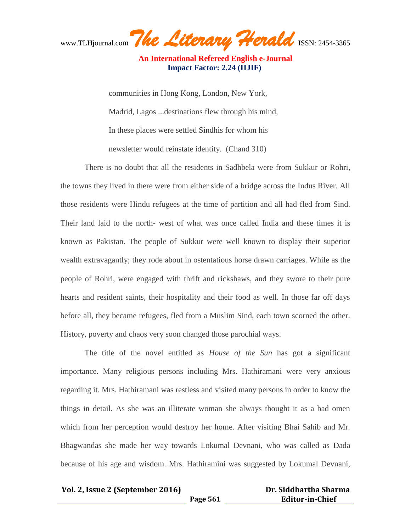www.TLHjournal.com The Literary Herald ISSN: 2454-3365

communities in Hong Kong, London, New York, Madrid, Lagos ...destinations flew through his mind, In these places were settled Sindhis for whom his newsletter would reinstate identity. (Chand 310)

There is no doubt that all the residents in Sadhbela were from Sukkur or Rohri, the towns they lived in there were from either side of a bridge across the Indus River. All those residents were Hindu refugees at the time of partition and all had fled from Sind. Their land laid to the north- west of what was once called India and these times it is known as Pakistan. The people of Sukkur were well known to display their superior wealth extravagantly; they rode about in ostentatious horse drawn carriages. While as the people of Rohri, were engaged with thrift and rickshaws, and they swore to their pure hearts and resident saints, their hospitality and their food as well. In those far off days before all, they became refugees, fled from a Muslim Sind, each town scorned the other. History, poverty and chaos very soon changed those parochial ways.

The title of the novel entitled as *House of the Sun* has got a significant importance. Many religious persons including Mrs. Hathiramani were very anxious regarding it. Mrs. Hathiramani was restless and visited many persons in order to know the things in detail. As she was an illiterate woman she always thought it as a bad omen which from her perception would destroy her home. After visiting Bhai Sahib and Mr. Bhagwandas she made her way towards Lokumal Devnani, who was called as Dada because of his age and wisdom. Mrs. Hathiramini was suggested by Lokumal Devnani,

## **Vol. 2, Issue 2 (September 2016)**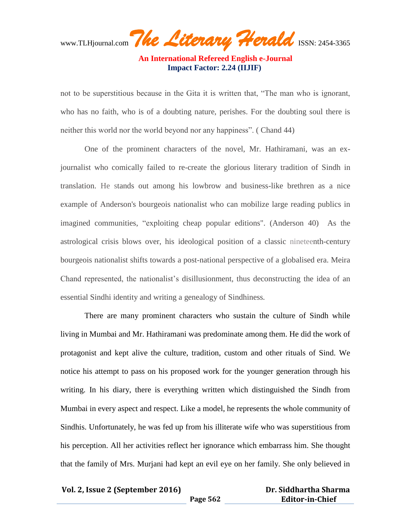www.TLHjournal.com The Literary Herald ISSN: 2454-3365

not to be superstitious because in the Gita it is written that, "The man who is ignorant, who has no faith, who is of a doubting nature, perishes. For the doubting soul there is neither this world nor the world beyond nor any happiness". ( Chand 44)

One of the prominent characters of the novel, Mr. Hathiramani, was an exjournalist who comically failed to re-create the glorious literary tradition of Sindh in translation. He stands out among his lowbrow and business-like brethren as a nice example of Anderson's bourgeois nationalist who can mobilize large reading publics in imagined communities, "exploiting cheap popular editions". (Anderson 40) As the astrological crisis blows over, his ideological position of a classic nineteenth-century bourgeois nationalist shifts towards a post-national perspective of a globalised era. Meira Chand represented, the nationalist's disillusionment, thus deconstructing the idea of an essential Sindhi identity and writing a genealogy of Sindhiness*.*

There are many prominent characters who sustain the culture of Sindh while living in Mumbai and Mr. Hathiramani was predominate among them. He did the work of protagonist and kept alive the culture, tradition, custom and other rituals of Sind. We notice his attempt to pass on his proposed work for the younger generation through his writing. In his diary, there is everything written which distinguished the Sindh from Mumbai in every aspect and respect. Like a model, he represents the whole community of Sindhis. Unfortunately, he was fed up from his illiterate wife who was superstitious from his perception. All her activities reflect her ignorance which embarrass him. She thought that the family of Mrs. Murjani had kept an evil eye on her family. She only believed in

**Page 562**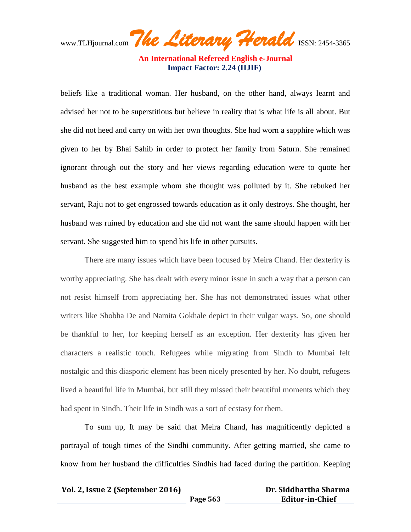www.TLHjournal.com The Literary Herald ISSN: 2454-3365

beliefs like a traditional woman. Her husband, on the other hand, always learnt and advised her not to be superstitious but believe in reality that is what life is all about. But she did not heed and carry on with her own thoughts. She had worn a sapphire which was given to her by Bhai Sahib in order to protect her family from Saturn. She remained ignorant through out the story and her views regarding education were to quote her husband as the best example whom she thought was polluted by it. She rebuked her servant, Raju not to get engrossed towards education as it only destroys. She thought, her husband was ruined by education and she did not want the same should happen with her servant. She suggested him to spend his life in other pursuits.

There are many issues which have been focused by Meira Chand. Her dexterity is worthy appreciating. She has dealt with every minor issue in such a way that a person can not resist himself from appreciating her. She has not demonstrated issues what other writers like Shobha De and Namita Gokhale depict in their vulgar ways. So, one should be thankful to her, for keeping herself as an exception. Her dexterity has given her characters a realistic touch. Refugees while migrating from Sindh to Mumbai felt nostalgic and this diasporic element has been nicely presented by her. No doubt, refugees lived a beautiful life in Mumbai, but still they missed their beautiful moments which they had spent in Sindh. Their life in Sindh was a sort of ecstasy for them.

To sum up, It may be said that Meira Chand, has magnificently depicted a portrayal of tough times of the Sindhi community. After getting married, she came to know from her husband the difficulties Sindhis had faced during the partition. Keeping

**Page 563**

| Dr. Siddhartha Sharma  |  |
|------------------------|--|
| <b>Editor-in-Chief</b> |  |